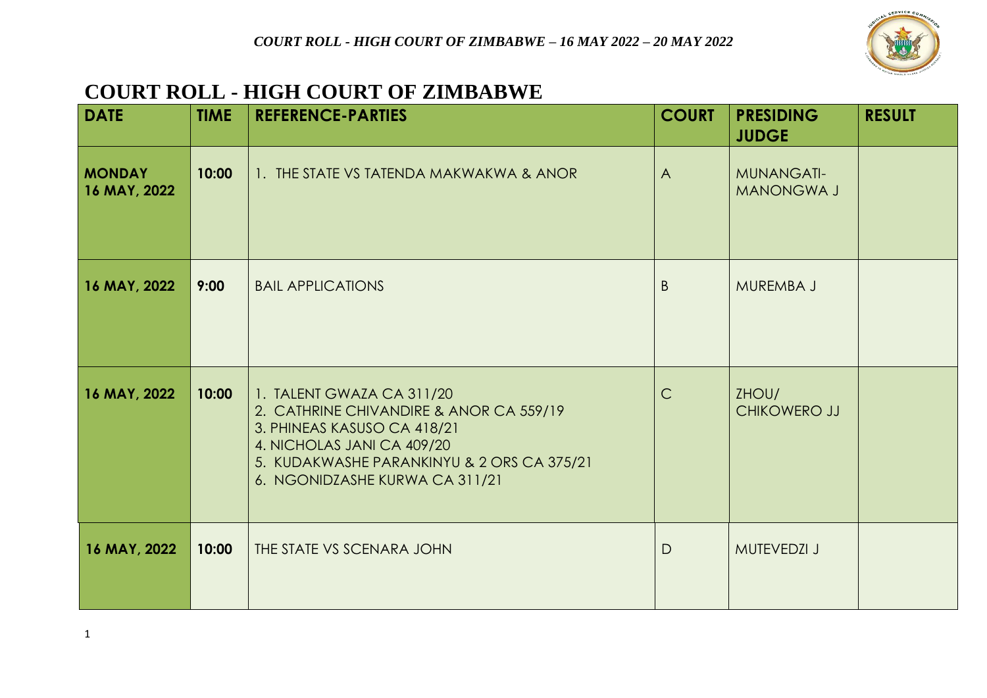

## **COURT ROLL - HIGH COURT OF ZIMBABWE**

| <b>DATE</b>                   | <b>TIME</b> | <b>REFERENCE-PARTIES</b>                                                                                                                                                                                          | <b>COURT</b>   | <b>PRESIDING</b><br><b>JUDGE</b>       | <b>RESULT</b> |
|-------------------------------|-------------|-------------------------------------------------------------------------------------------------------------------------------------------------------------------------------------------------------------------|----------------|----------------------------------------|---------------|
| <b>MONDAY</b><br>16 MAY, 2022 | 10:00       | 1. THE STATE VS TATENDA MAKWAKWA & ANOR                                                                                                                                                                           | $\overline{A}$ | <b>MUNANGATI-</b><br><b>MANONGWA J</b> |               |
| 16 MAY, 2022                  | 9:00        | <b>BAIL APPLICATIONS</b>                                                                                                                                                                                          | B              | MUREMBA J                              |               |
| 16 MAY, 2022                  | 10:00       | 1. TALENT GWAZA CA 311/20<br>2. CATHRINE CHIVANDIRE & ANOR CA 559/19<br>3. PHINEAS KASUSO CA 418/21<br>4. NICHOLAS JANI CA 409/20<br>5. KUDAKWASHE PARANKINYU & 2 ORS CA 375/21<br>6. NGONIDZASHE KURWA CA 311/21 | $\mathsf{C}$   | ZHOU/<br>CHIKOWERO JJ                  |               |
| 16 MAY, 2022                  | 10:00       | THE STATE VS SCENARA JOHN                                                                                                                                                                                         | $\mathsf{D}$   | <b>MUTEVEDZI J</b>                     |               |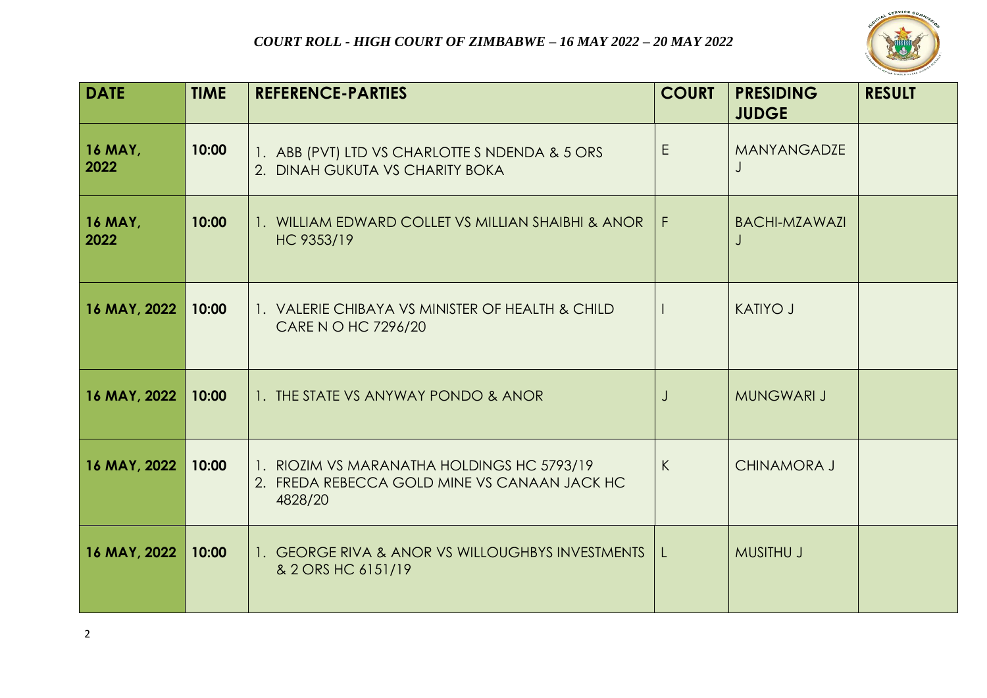

| <b>DATE</b>            | <b>TIME</b> | <b>REFERENCE-PARTIES</b>                                                                              | <b>COURT</b> | <b>PRESIDING</b><br><b>JUDGE</b> | <b>RESULT</b> |
|------------------------|-------------|-------------------------------------------------------------------------------------------------------|--------------|----------------------------------|---------------|
| <b>16 MAY,</b><br>2022 | 10:00       | 1. ABB (PVT) LTD VS CHARLOTTE S NDENDA & 5 ORS<br>2. DINAH GUKUTA VS CHARITY BOKA                     | E            | MANYANGADZE                      |               |
| <b>16 MAY,</b><br>2022 | 10:00       | 1. WILLIAM EDWARD COLLET VS MILLIAN SHAIBHI & ANOR<br>HC 9353/19                                      | l F.         | <b>BACHI-MZAWAZI</b>             |               |
| 16 MAY, 2022           | 10:00       | 1. VALERIE CHIBAYA VS MINISTER OF HEALTH & CHILD<br>CARE N O HC 7296/20                               |              | <b>KATIYO J</b>                  |               |
| 16 MAY, 2022           | 10:00       | 1. THE STATE VS ANYWAY PONDO & ANOR                                                                   |              | <b>MUNGWARI J</b>                |               |
| 16 MAY, 2022           | 10:00       | 1. RIOZIM VS MARANATHA HOLDINGS HC 5793/19<br>2. FREDA REBECCA GOLD MINE VS CANAAN JACK HC<br>4828/20 | K            | <b>CHINAMORA J</b>               |               |
| 16 MAY, 2022           | 10:00       | 1. GEORGE RIVA & ANOR VS WILLOUGHBYS INVESTMENTS  <br>& 2 ORS HC 6151/19                              | $\mathsf{L}$ | <b>MUSITHU J</b>                 |               |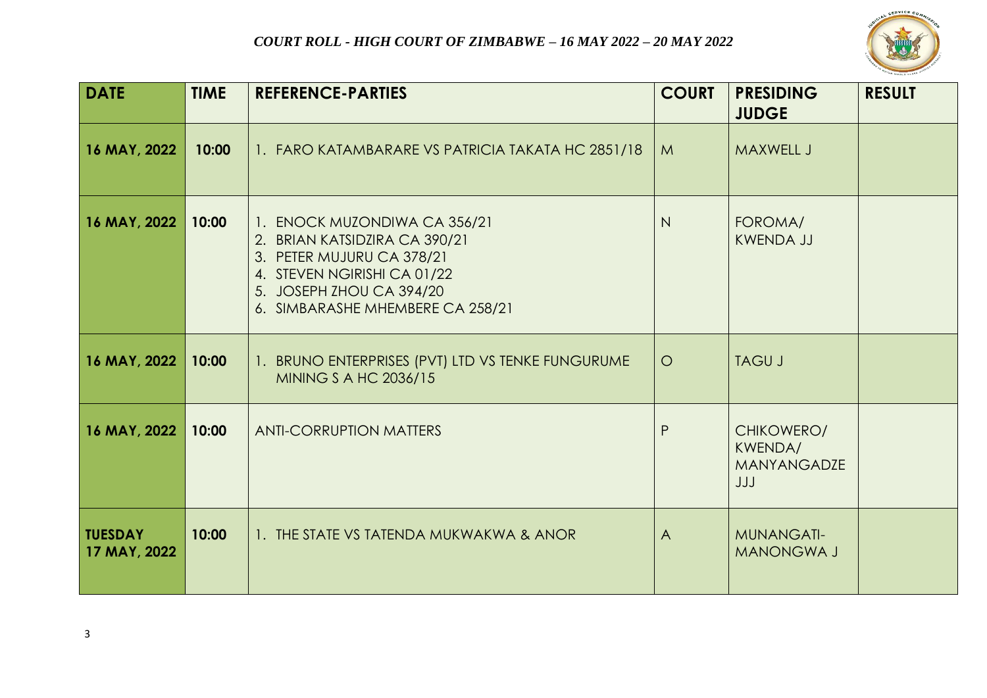

| <b>DATE</b>                    | <b>TIME</b> | <b>REFERENCE-PARTIES</b>                                                                                                                                                                  | <b>COURT</b> | <b>PRESIDING</b><br><b>JUDGE</b>                   | <b>RESULT</b> |
|--------------------------------|-------------|-------------------------------------------------------------------------------------------------------------------------------------------------------------------------------------------|--------------|----------------------------------------------------|---------------|
| 16 MAY, 2022                   | 10:00       | 1. FARO KATAMBARARE VS PATRICIA TAKATA HC 2851/18                                                                                                                                         | M            | <b>MAXWELL J</b>                                   |               |
| 16 MAY, 2022                   | 10:00       | 1. ENOCK MUZONDIWA CA 356/21<br>2. BRIAN KATSIDZIRA CA 390/21<br>3. PETER MUJURU CA 378/21<br>4. STEVEN NGIRISHI CA 01/22<br>5. JOSEPH ZHOU CA 394/20<br>6. SIMBARASHE MHEMBERE CA 258/21 | N            | FOROMA/<br><b>KWENDA JJ</b>                        |               |
| 16 MAY, 2022                   | 10:00       | 1. BRUNO ENTERPRISES (PVT) LTD VS TENKE FUNGURUME<br>MINING S A HC 2036/15                                                                                                                | $\circ$      | <b>TAGU J</b>                                      |               |
| 16 MAY, 2022                   | 10:00       | <b>ANTI-CORRUPTION MATTERS</b>                                                                                                                                                            | P            | CHIKOWERO/<br>KWENDA/<br><b>MANYANGADZE</b><br>JJJ |               |
| <b>TUESDAY</b><br>17 MAY, 2022 | 10:00       | 1. THE STATE VS TATENDA MUKWAKWA & ANOR                                                                                                                                                   | $\bigwedge$  | <b>MUNANGATI-</b><br><b>MANONGWA J</b>             |               |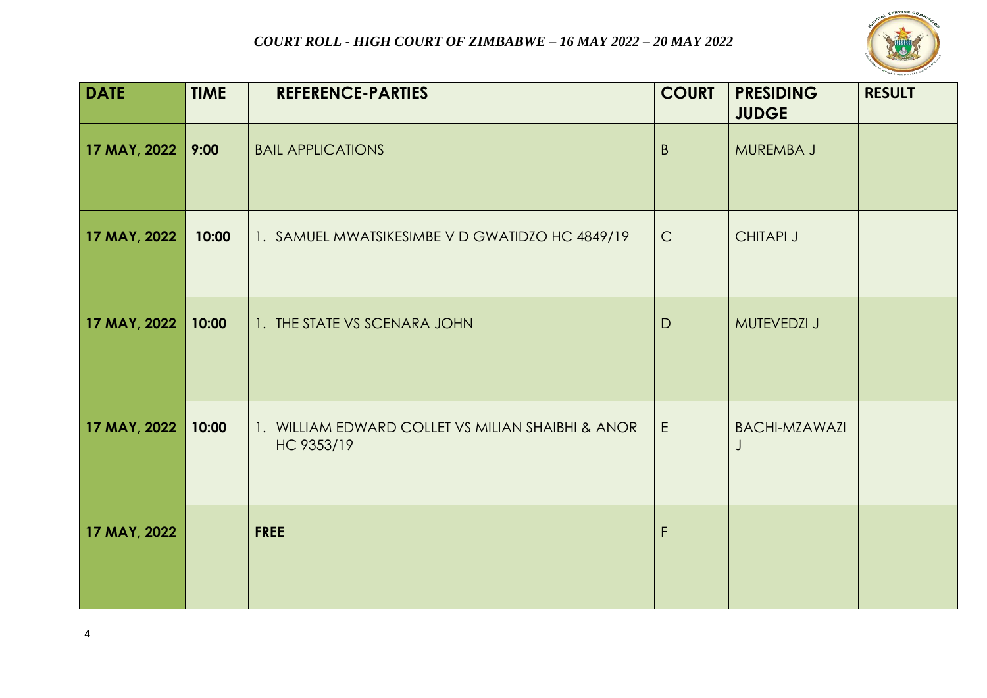

| <b>DATE</b>  | <b>TIME</b> | <b>REFERENCE-PARTIES</b>                                        | <b>COURT</b> | <b>PRESIDING</b><br><b>JUDGE</b> | <b>RESULT</b> |
|--------------|-------------|-----------------------------------------------------------------|--------------|----------------------------------|---------------|
| 17 MAY, 2022 | 9:00        | <b>BAIL APPLICATIONS</b>                                        | $\mathsf{B}$ | MUREMBA J                        |               |
| 17 MAY, 2022 | 10:00       | 1. SAMUEL MWATSIKESIMBE V D GWATIDZO HC 4849/19                 | $\mathsf{C}$ | <b>CHITAPI J</b>                 |               |
| 17 MAY, 2022 | 10:00       | 1. THE STATE VS SCENARA JOHN                                    | $\mathsf{D}$ | MUTEVEDZI J                      |               |
| 17 MAY, 2022 | 10:00       | 1. WILLIAM EDWARD COLLET VS MILIAN SHAIBHI & ANOR<br>HC 9353/19 | E            | <b>BACHI-MZAWAZI</b><br>J        |               |
| 17 MAY, 2022 |             | <b>FREE</b>                                                     | $\mathsf F$  |                                  |               |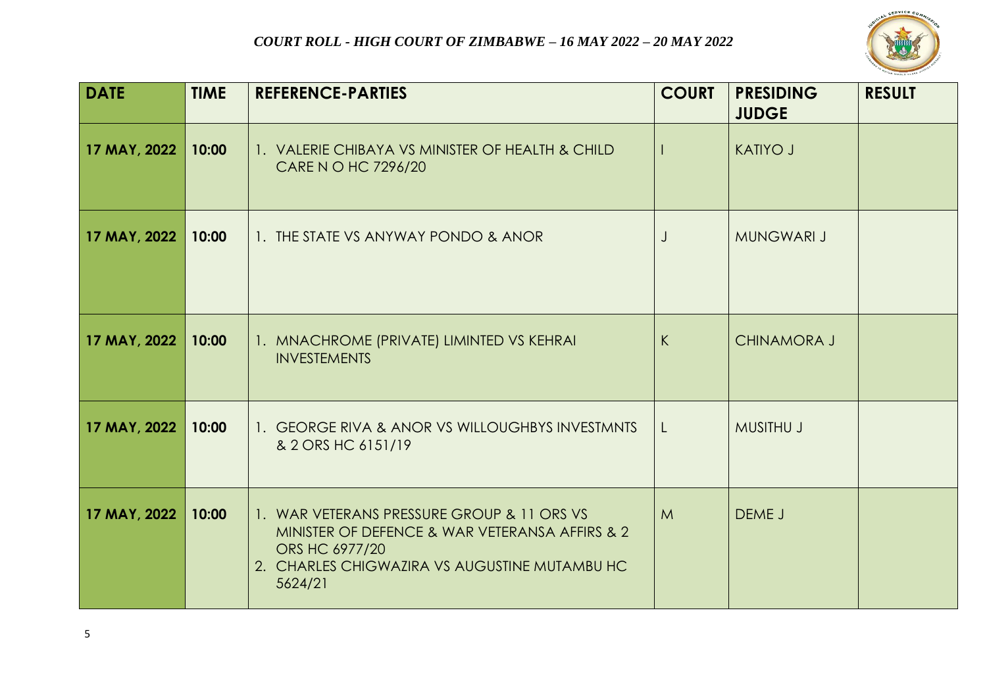

| <b>DATE</b>  | <b>TIME</b> | <b>REFERENCE-PARTIES</b>                                                                                                                                                   | <b>COURT</b> | <b>PRESIDING</b><br><b>JUDGE</b> | <b>RESULT</b> |
|--------------|-------------|----------------------------------------------------------------------------------------------------------------------------------------------------------------------------|--------------|----------------------------------|---------------|
| 17 MAY, 2022 | 10:00       | 1. VALERIE CHIBAYA VS MINISTER OF HEALTH & CHILD<br>CARE N O HC 7296/20                                                                                                    |              | <b>KATIYO J</b>                  |               |
| 17 MAY, 2022 | 10:00       | 1. THE STATE VS ANYWAY PONDO & ANOR                                                                                                                                        | J            | <b>MUNGWARI J</b>                |               |
| 17 MAY, 2022 | 10:00       | 1. MNACHROME (PRIVATE) LIMINTED VS KEHRAI<br><b>INVESTEMENTS</b>                                                                                                           | K            | <b>CHINAMORA J</b>               |               |
| 17 MAY, 2022 | 10:00       | 1. GEORGE RIVA & ANOR VS WILLOUGHBYS INVESTMNTS<br>& 2 ORS HC 6151/19                                                                                                      | L            | <b>MUSITHU J</b>                 |               |
| 17 MAY, 2022 | 10:00       | 1. WAR VETERANS PRESSURE GROUP & 11 ORS VS<br>MINISTER OF DEFENCE & WAR VETERANSA AFFIRS & 2<br>ORS HC 6977/20<br>2. CHARLES CHIGWAZIRA VS AUGUSTINE MUTAMBU HC<br>5624/21 | M            | DEME J                           |               |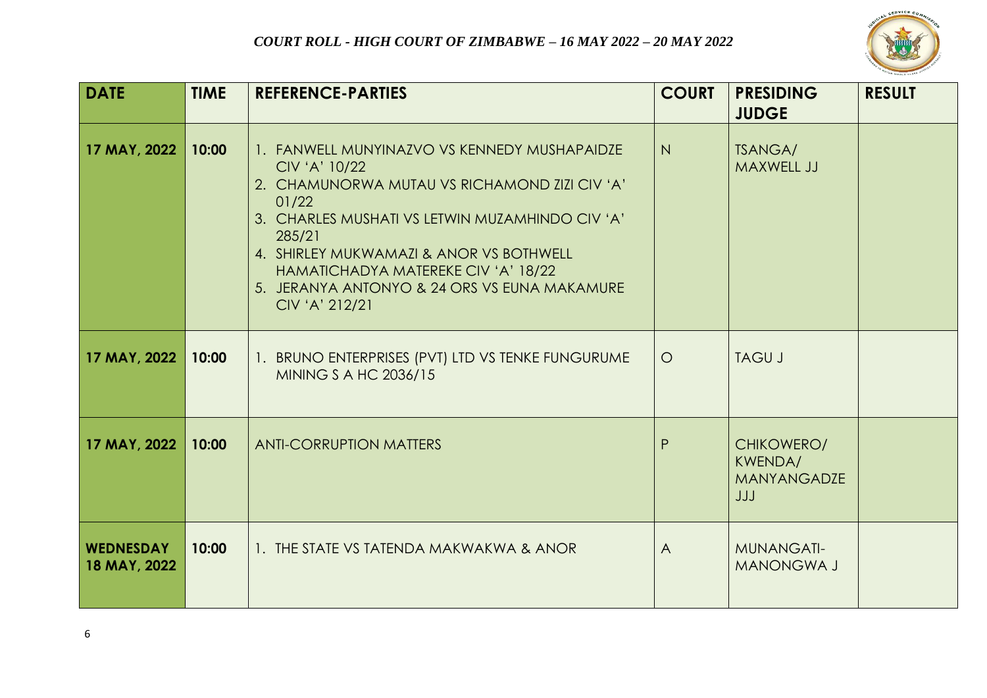

| <b>DATE</b>                      | <b>TIME</b> | <b>REFERENCE-PARTIES</b>                                                                                                                                                                                                                                                                                                                 | <b>COURT</b> | <b>PRESIDING</b><br><b>JUDGE</b>                   | <b>RESULT</b> |
|----------------------------------|-------------|------------------------------------------------------------------------------------------------------------------------------------------------------------------------------------------------------------------------------------------------------------------------------------------------------------------------------------------|--------------|----------------------------------------------------|---------------|
| 17 MAY, 2022                     | 10:00       | 1. FANWELL MUNYINAZVO VS KENNEDY MUSHAPAIDZE<br>CIV 'A' 10/22<br>2. CHAMUNORWA MUTAU VS RICHAMOND ZIZI CIV 'A'<br>01/22<br>3. CHARLES MUSHATI VS LETWIN MUZAMHINDO CIV 'A'<br>285/21<br>4. SHIRLEY MUKWAMAZI & ANOR VS BOTHWELL<br>HAMATICHADYA MATEREKE CIV 'A' 18/22<br>5. JERANYA ANTONYO & 24 ORS VS EUNA MAKAMURE<br>CIV 'A' 212/21 | N            | <b>TSANGA/</b><br><b>MAXWELL JJ</b>                |               |
| 17 MAY, 2022                     | 10:00       | 1. BRUNO ENTERPRISES (PVT) LTD VS TENKE FUNGURUME<br>MINING S A HC 2036/15                                                                                                                                                                                                                                                               | $\circ$      | <b>TAGU J</b>                                      |               |
| 17 MAY, 2022                     | 10:00       | <b>ANTI-CORRUPTION MATTERS</b>                                                                                                                                                                                                                                                                                                           | P            | CHIKOWERO/<br>KWENDA/<br><b>MANYANGADZE</b><br>JJJ |               |
| <b>WEDNESDAY</b><br>18 MAY, 2022 | 10:00       | 1. THE STATE VS TATENDA MAKWAKWA & ANOR                                                                                                                                                                                                                                                                                                  | $\bigwedge$  | <b>MUNANGATI-</b><br><b>MANONGWA J</b>             |               |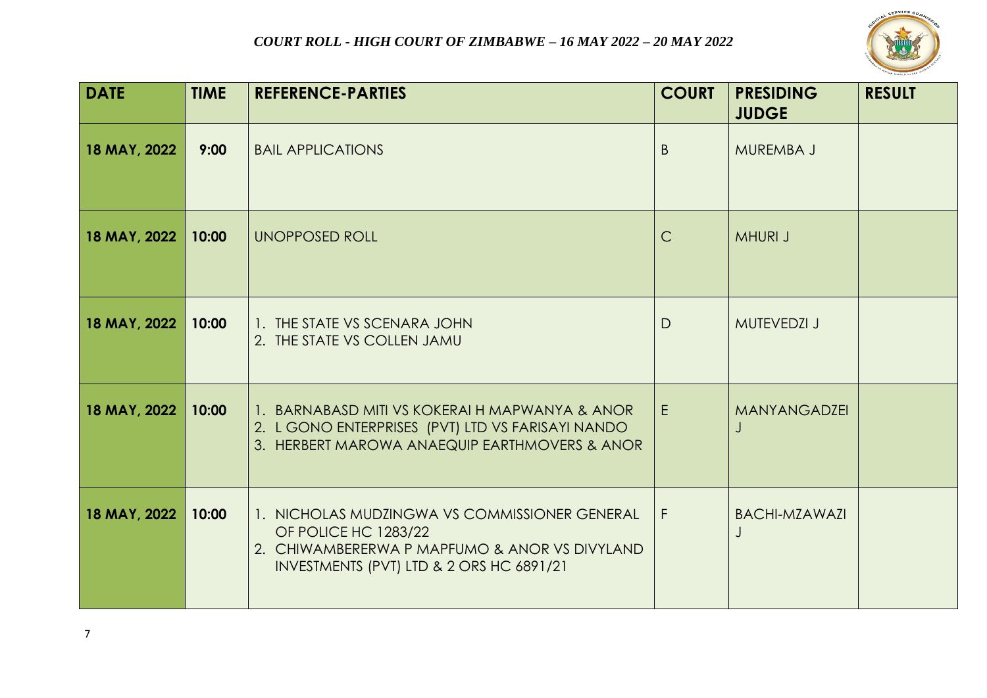

| <b>DATE</b>  | <b>TIME</b> | <b>REFERENCE-PARTIES</b>                                                                                                                                           | <b>COURT</b> | <b>PRESIDING</b><br><b>JUDGE</b> | <b>RESULT</b> |
|--------------|-------------|--------------------------------------------------------------------------------------------------------------------------------------------------------------------|--------------|----------------------------------|---------------|
| 18 MAY, 2022 | 9:00        | <b>BAIL APPLICATIONS</b>                                                                                                                                           | B.           | MUREMBA J                        |               |
| 18 MAY, 2022 | 10:00       | <b>UNOPPOSED ROLL</b>                                                                                                                                              | $\mathsf{C}$ | <b>MHURI J</b>                   |               |
| 18 MAY, 2022 | 10:00       | 1. THE STATE VS SCENARA JOHN<br>2. THE STATE VS COLLEN JAMU                                                                                                        | D            | <b>MUTEVEDZI J</b>               |               |
| 18 MAY, 2022 | 10:00       | 1. BARNABASD MITI VS KOKERAI H MAPWANYA & ANOR<br>2. L GONO ENTERPRISES (PVT) LTD VS FARISAYI NANDO<br>3. HERBERT MAROWA ANAEQUIP EARTHMOVERS & ANOR               | E            | <b>MANYANGADZEI</b>              |               |
| 18 MAY, 2022 | 10:00       | 1. NICHOLAS MUDZINGWA VS COMMISSIONER GENERAL<br>OF POLICE HC 1283/22<br>2. CHIWAMBERERWA P MAPFUMO & ANOR VS DIVYLAND<br>INVESTMENTS (PVT) LTD & 2 ORS HC 6891/21 | F            | <b>BACHI-MZAWAZI</b><br>J        |               |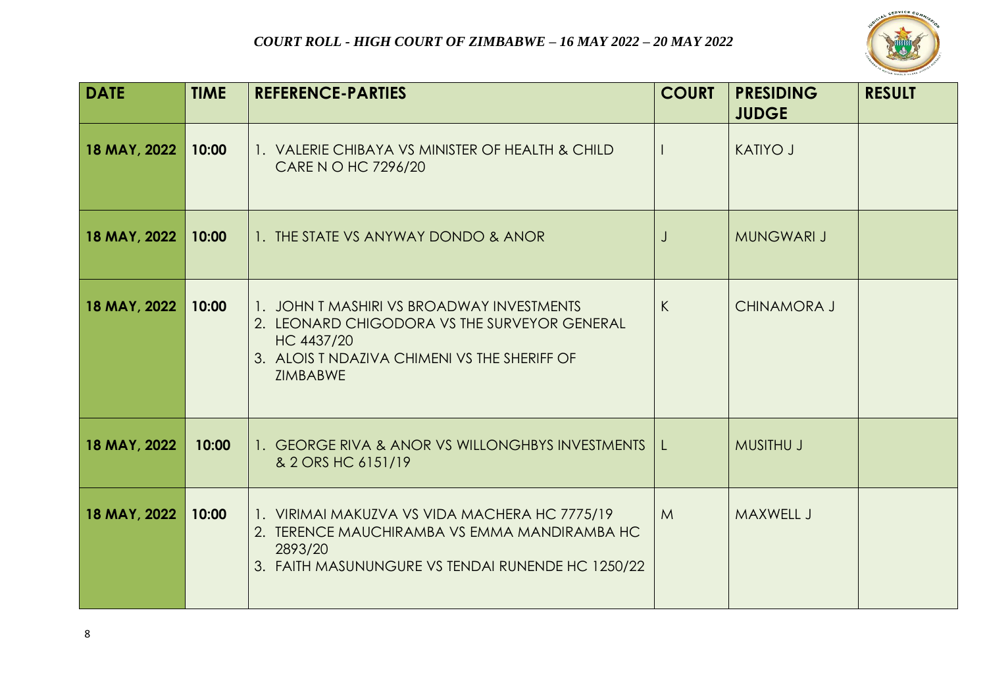

| <b>DATE</b>  | <b>TIME</b> | <b>REFERENCE-PARTIES</b>                                                                                                                                            | <b>COURT</b> | <b>PRESIDING</b><br><b>JUDGE</b> | <b>RESULT</b> |
|--------------|-------------|---------------------------------------------------------------------------------------------------------------------------------------------------------------------|--------------|----------------------------------|---------------|
| 18 MAY, 2022 | 10:00       | 1. VALERIE CHIBAYA VS MINISTER OF HEALTH & CHILD<br>CARE N O HC 7296/20                                                                                             |              | <b>KATIYO J</b>                  |               |
| 18 MAY, 2022 | 10:00       | 1. THE STATE VS ANYWAY DONDO & ANOR                                                                                                                                 | $\bigcup$    | <b>MUNGWARI J</b>                |               |
| 18 MAY, 2022 | 10:00       | 1. JOHN T MASHIRI VS BROADWAY INVESTMENTS<br>2. LEONARD CHIGODORA VS THE SURVEYOR GENERAL<br>HC 4437/20<br>3. ALOIS T NDAZIVA CHIMENI VS THE SHERIFF OF<br>ZIMBABWE | K            | <b>CHINAMORA J</b>               |               |
| 18 MAY, 2022 | 10:00       | 1. GEORGE RIVA & ANOR VS WILLONGHBYS INVESTMENTS<br>& 2 ORS HC 6151/19                                                                                              | $\mathsf{L}$ | <b>MUSITHU J</b>                 |               |
| 18 MAY, 2022 | 10:00       | 1. VIRIMAI MAKUZVA VS VIDA MACHERA HC 7775/19<br>2. TERENCE MAUCHIRAMBA VS EMMA MANDIRAMBA HC<br>2893/20<br>3. FAITH MASUNUNGURE VS TENDAI RUNENDE HC 1250/22       | M            | <b>MAXWELL J</b>                 |               |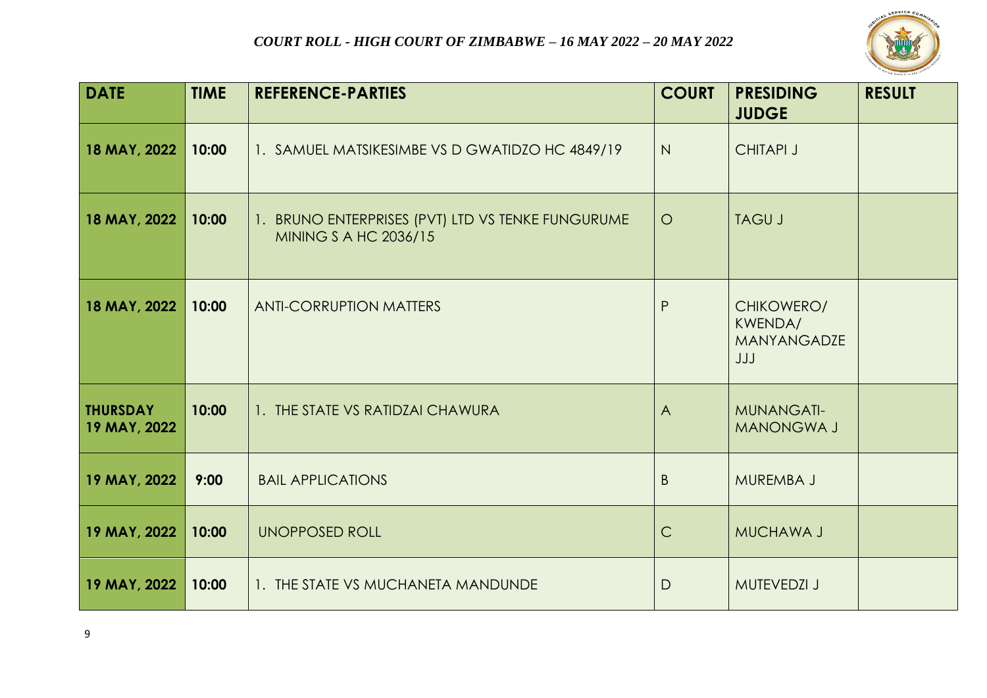

| <b>DATE</b>                     | <b>TIME</b> | <b>REFERENCE-PARTIES</b>                                                          | <b>COURT</b> | <b>PRESIDING</b><br><b>JUDGE</b>                          | <b>RESULT</b> |
|---------------------------------|-------------|-----------------------------------------------------------------------------------|--------------|-----------------------------------------------------------|---------------|
| 18 MAY, 2022                    | 10:00       | 1. SAMUEL MATSIKESIMBE VS D GWATIDZO HC 4849/19                                   | N            | <b>CHITAPI J</b>                                          |               |
| 18 MAY, 2022                    | 10:00       | 1. BRUNO ENTERPRISES (PVT) LTD VS TENKE FUNGURUME<br><b>MINING S A HC 2036/15</b> | $\circ$      | <b>TAGU J</b>                                             |               |
| 18 MAY, 2022                    | 10:00       | <b>ANTI-CORRUPTION MATTERS</b>                                                    | P            | CHIKOWERO/<br><b>KWENDA/</b><br><b>MANYANGADZE</b><br>JJJ |               |
| <b>THURSDAY</b><br>19 MAY, 2022 | 10:00       | 1. THE STATE VS RATIDZAI CHAWURA                                                  | $\bigwedge$  | <b>MUNANGATI-</b><br><b>MANONGWA J</b>                    |               |
| 19 MAY, 2022                    | 9:00        | <b>BAIL APPLICATIONS</b>                                                          | B            | <b>MUREMBA J</b>                                          |               |
| 19 MAY, 2022                    | 10:00       | <b>UNOPPOSED ROLL</b>                                                             | $\mathsf{C}$ | <b>MUCHAWA J</b>                                          |               |
| 19 MAY, 2022                    | 10:00       | 1. THE STATE VS MUCHANETA MANDUNDE                                                | $\mathsf{D}$ | <b>MUTEVEDZI J</b>                                        |               |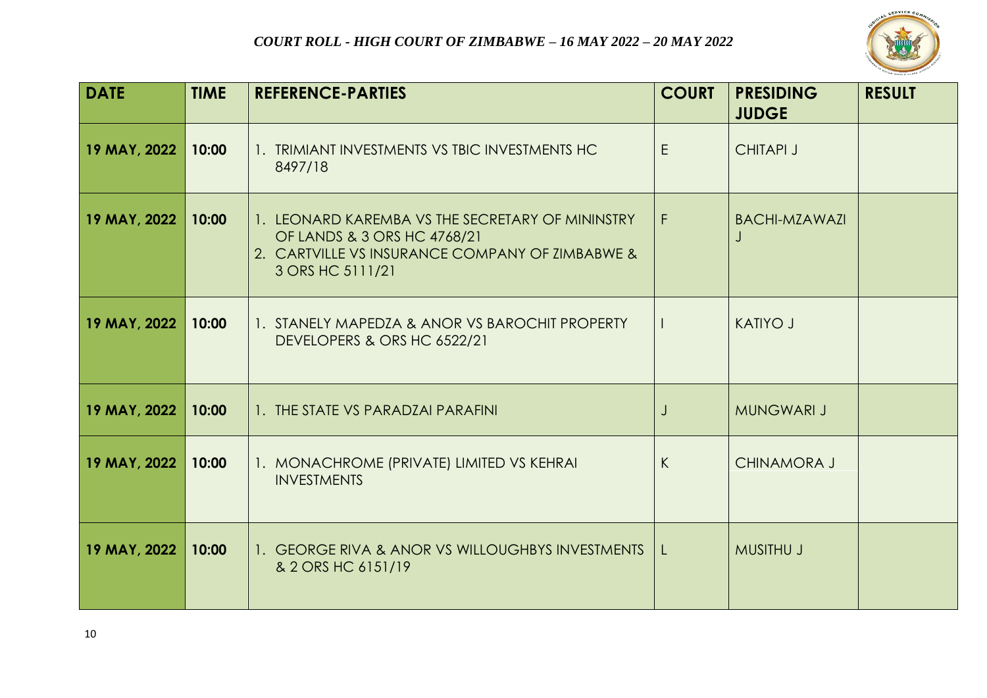

| <b>DATE</b>  | <b>TIME</b> | <b>REFERENCE-PARTIES</b>                                                                                                                               | <b>COURT</b> | <b>PRESIDING</b><br><b>JUDGE</b> | <b>RESULT</b> |
|--------------|-------------|--------------------------------------------------------------------------------------------------------------------------------------------------------|--------------|----------------------------------|---------------|
| 19 MAY, 2022 | 10:00       | 1. TRIMIANT INVESTMENTS VS TBIC INVESTMENTS HC<br>8497/18                                                                                              | E.           | <b>CHITAPI J</b>                 |               |
| 19 MAY, 2022 | 10:00       | 1. LEONARD KAREMBA VS THE SECRETARY OF MININSTRY<br>OF LANDS & 3 ORS HC 4768/21<br>2. CARTVILLE VS INSURANCE COMPANY OF ZIMBABWE &<br>3 ORS HC 5111/21 | F.           | <b>BACHI-MZAWAZI</b>             |               |
| 19 MAY, 2022 | 10:00       | 1. STANELY MAPEDZA & ANOR VS BAROCHIT PROPERTY<br>DEVELOPERS & ORS HC 6522/21                                                                          |              | <b>KATIYO J</b>                  |               |
| 19 MAY, 2022 | 10:00       | 1. THE STATE VS PARADZAI PARAFINI                                                                                                                      | $\cdot$      | <b>MUNGWARI J</b>                |               |
| 19 MAY, 2022 | 10:00       | 1. MONACHROME (PRIVATE) LIMITED VS KEHRAI<br><b>INVESTMENTS</b>                                                                                        | K            | <b>CHINAMORA J</b>               |               |
| 19 MAY, 2022 | 10:00       | 1. GEORGE RIVA & ANOR VS WILLOUGHBYS INVESTMENTS   L<br>& 2 ORS HC 6151/19                                                                             |              | <b>MUSITHU J</b>                 |               |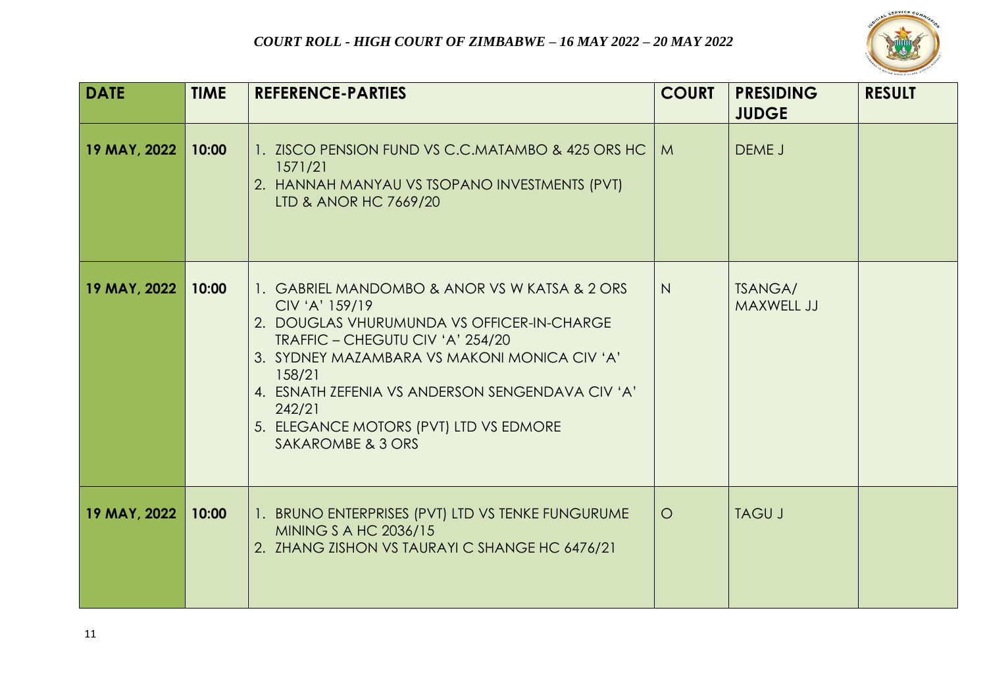

| <b>DATE</b>  | <b>TIME</b> | <b>REFERENCE-PARTIES</b>                                                                                                                                                                                                                                                                                                                 | <b>COURT</b> | <b>PRESIDING</b><br><b>JUDGE</b> | <b>RESULT</b> |
|--------------|-------------|------------------------------------------------------------------------------------------------------------------------------------------------------------------------------------------------------------------------------------------------------------------------------------------------------------------------------------------|--------------|----------------------------------|---------------|
| 19 MAY, 2022 | 10:00       | 1. ZISCO PENSION FUND VS C.C.MATAMBO & 425 ORS HC   M<br>1571/21<br>2. HANNAH MANYAU VS TSOPANO INVESTMENTS (PVT)<br>LTD & ANOR HC 7669/20                                                                                                                                                                                               |              | DEME J                           |               |
| 19 MAY, 2022 | 10:00       | 1. GABRIEL MANDOMBO & ANOR VS W KATSA & 2 ORS<br>CIV 'A' 159/19<br>2. DOUGLAS VHURUMUNDA VS OFFICER-IN-CHARGE<br>TRAFFIC - CHEGUTU CIV 'A' 254/20<br>3. SYDNEY MAZAMBARA VS MAKONI MONICA CIV 'A'<br>158/21<br>4. ESNATH ZEFENIA VS ANDERSON SENGENDAVA CIV 'A'<br>242/21<br>5. ELEGANCE MOTORS (PVT) LTD VS EDMORE<br>SAKAROMBE & 3 ORS | N            | <b>TSANGA/</b><br>MAXWELL JJ     |               |
| 19 MAY, 2022 | 10:00       | 1. BRUNO ENTERPRISES (PVT) LTD VS TENKE FUNGURUME<br>MINING S A HC 2036/15<br>2. ZHANG ZISHON VS TAURAYI C SHANGE HC 6476/21                                                                                                                                                                                                             | $\circ$      | <b>TAGU J</b>                    |               |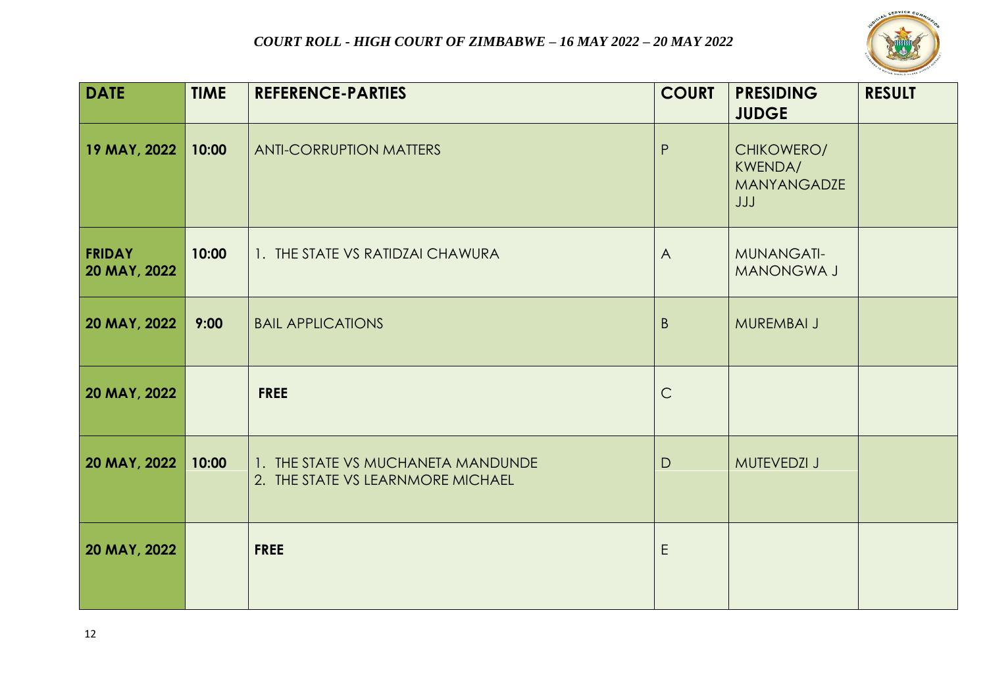

| <b>DATE</b>                   | <b>TIME</b> | <b>REFERENCE-PARTIES</b>                                                | <b>COURT</b>   | <b>PRESIDING</b><br><b>JUDGE</b>                   | <b>RESULT</b> |
|-------------------------------|-------------|-------------------------------------------------------------------------|----------------|----------------------------------------------------|---------------|
| 19 MAY, 2022                  | 10:00       | <b>ANTI-CORRUPTION MATTERS</b>                                          | P              | CHIKOWERO/<br>KWENDA/<br><b>MANYANGADZE</b><br>JJJ |               |
| <b>FRIDAY</b><br>20 MAY, 2022 | 10:00       | 1. THE STATE VS RATIDZAI CHAWURA                                        | $\overline{A}$ | <b>MUNANGATI-</b><br>MANONGWA J                    |               |
| 20 MAY, 2022                  | 9:00        | <b>BAIL APPLICATIONS</b>                                                | $\mathsf{B}$   | MUREMBAI J                                         |               |
| 20 MAY, 2022                  |             | <b>FREE</b>                                                             | $\mathsf{C}$   |                                                    |               |
| 20 MAY, 2022                  | 10:00       | 1. THE STATE VS MUCHANETA MANDUNDE<br>2. THE STATE VS LEARNMORE MICHAEL | D              | <b>MUTEVEDZI J</b>                                 |               |
| 20 MAY, 2022                  |             | <b>FREE</b>                                                             | E              |                                                    |               |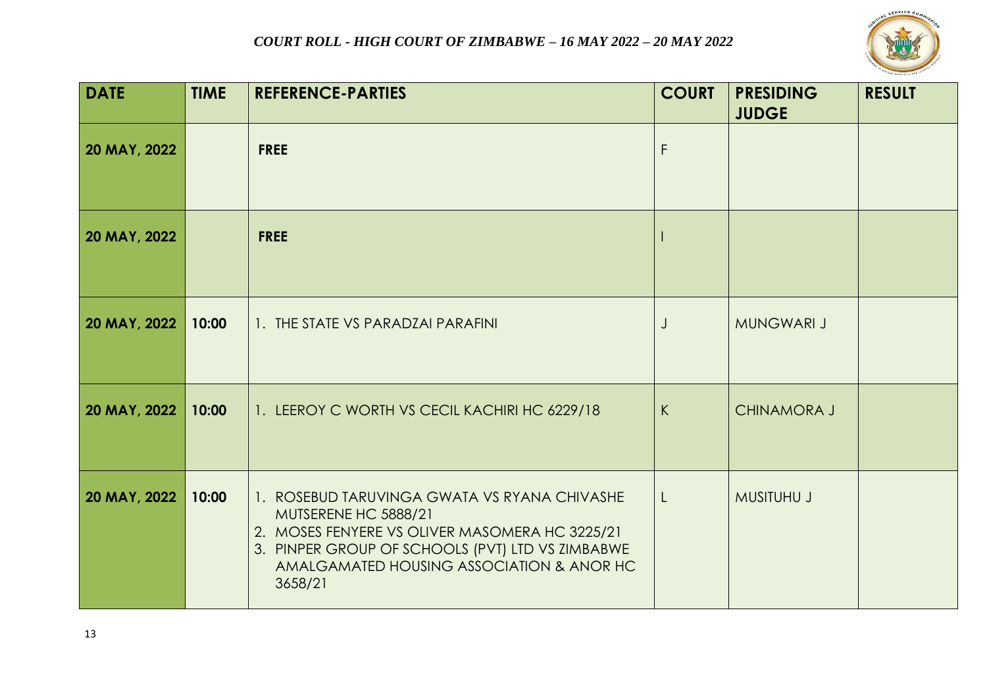

| <b>DATE</b>  | <b>TIME</b> | <b>REFERENCE-PARTIES</b>                                                                                                                                                                                                           | <b>COURT</b> | <b>PRESIDING</b><br><b>JUDGE</b> | <b>RESULT</b> |
|--------------|-------------|------------------------------------------------------------------------------------------------------------------------------------------------------------------------------------------------------------------------------------|--------------|----------------------------------|---------------|
| 20 MAY, 2022 |             | <b>FREE</b>                                                                                                                                                                                                                        | F            |                                  |               |
| 20 MAY, 2022 |             | <b>FREE</b>                                                                                                                                                                                                                        |              |                                  |               |
| 20 MAY, 2022 | 10:00       | 1. THE STATE VS PARADZAI PARAFINI                                                                                                                                                                                                  | J            | <b>MUNGWARI J</b>                |               |
| 20 MAY, 2022 | 10:00       | 1. LEEROY C WORTH VS CECIL KACHIRI HC 6229/18                                                                                                                                                                                      | K            | <b>CHINAMORA J</b>               |               |
| 20 MAY, 2022 | 10:00       | 1. ROSEBUD TARUVINGA GWATA VS RYANA CHIVASHE<br>MUTSERENE HC 5888/21<br>2. MOSES FENYERE VS OLIVER MASOMERA HC 3225/21<br>3. PINPER GROUP OF SCHOOLS (PVT) LTD VS ZIMBABWE<br>AMALGAMATED HOUSING ASSOCIATION & ANOR HC<br>3658/21 | $\lfloor$    | <b>MUSITUHU J</b>                |               |